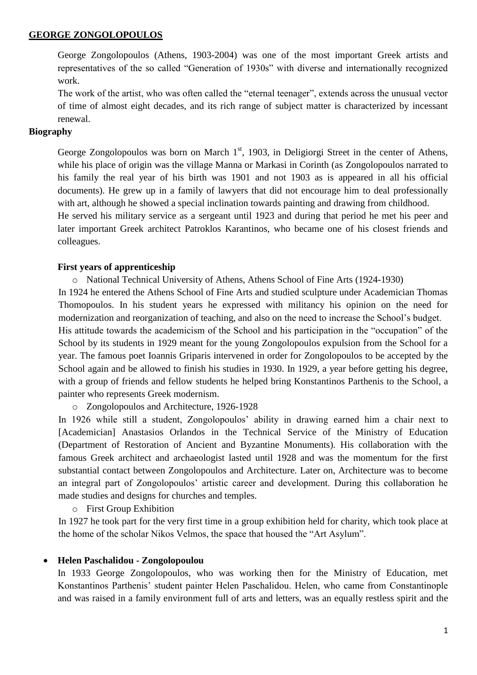#### **GEORGE ZONGOLOPOULOS**

George Zongolopoulos (Athens, 1903-2004) was one of the most important Greek artists and representatives of the so called "Generation of 1930s" with diverse and internationally recognized work.

The work of the artist, who was often called the "eternal teenager", extends across the unusual vector of time of almost eight decades, and its rich range of subject matter is characterized by incessant renewal.

## **Biography**

George Zongolopoulos was born on March  $1<sup>st</sup>$ , 1903, in Deligiorgi Street in the center of Athens, while his place of origin was the village Manna or Markasi in Corinth (as Zongolopoulos narrated to his family the real year of his birth was 1901 and not 1903 as is appeared in all his official documents). He grew up in a family of lawyers that did not encourage him to deal professionally with art, although he showed a special inclination towards painting and drawing from childhood.

He served his military service as a sergeant until 1923 and during that period he met his peer and later important Greek architect Patroklos Karantinos, who became one of his closest friends and colleagues.

#### **First years of apprenticeship**

o National Technical University of Athens, Athens School of Fine Arts (1924-1930)

In 1924 he entered the Athens School of Fine Arts and studied sculpture under Academician Thomas Thomopoulos. In his student years he expressed with militancy his opinion on the need for modernization and reorganization of teaching, and also on the need to increase the School"s budget.

His attitude towards the academicism of the School and his participation in the "occupation" of the School by its students in 1929 meant for the young Zongolopoulos expulsion from the School for a year. The famous poet Ioannis Griparis intervened in order for Zongolopoulos to be accepted by the School again and be allowed to finish his studies in 1930. In 1929, a year before getting his degree, with a group of friends and fellow students he helped bring Konstantinos Parthenis to the School, a painter who represents Greek modernism.

o Zongolopoulos and Architecture, 1926-1928

In 1926 while still a student, Zongolopoulos' ability in drawing earned him a chair next to [Academician] Anastasios Orlandos in the Technical Service of the Ministry of Education (Department of Restoration of Ancient and Byzantine Monuments). His collaboration with the famous Greek architect and archaeologist lasted until 1928 and was the momentum for the first substantial contact between Zongolopoulos and Architecture. Later on, Architecture was to become an integral part of Zongolopoulos' artistic career and development. During this collaboration he made studies and designs for churches and temples.

o First Group Exhibition

In 1927 he took part for the very first time in a group exhibition held for charity, which took place at the home of the scholar Nikos Velmos, the space that housed the "Art Asylum".

## **Helen Paschalidou - Zongolopoulou**

In 1933 George Zongolopoulos, who was working then for the Ministry of Education, met Konstantinos Parthenis" student painter Helen Paschalidou. Helen, who came from Constantinople and was raised in a family environment full of arts and letters, was an equally restless spirit and the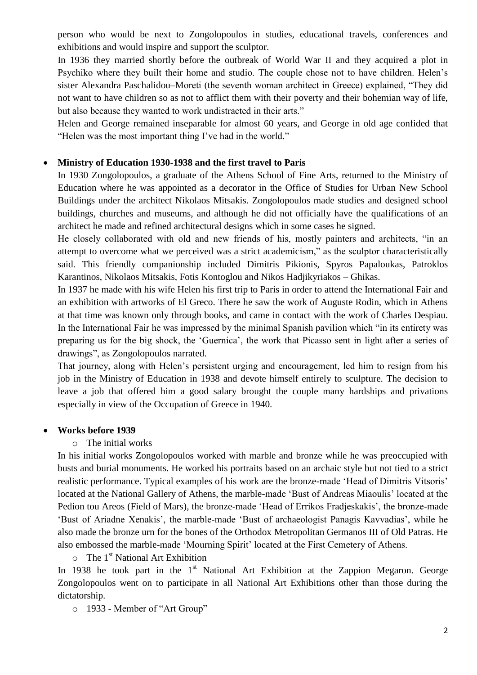person who would be next to Zongolopoulos in studies, educational travels, conferences and exhibitions and would inspire and support the sculptor.

In 1936 they married shortly before the outbreak of World War II and they acquired a plot in Psychiko where they built their home and studio. The couple chose not to have children. Helen"s sister Alexandra Paschalidou–Moreti (the seventh woman architect in Greece) explained, "They did not want to have children so as not to afflict them with their poverty and their bohemian way of life, but also because they wanted to work undistracted in their arts."

Helen and George remained inseparable for almost 60 years, and George in old age confided that "Helen was the most important thing I"ve had in the world."

#### **Ministry of Education 1930-1938 and the first travel to Paris**

In 1930 Zongolopoulos, a graduate of the Athens School of Fine Arts, returned to the Ministry of Education where he was appointed as a decorator in the Office of Studies for Urban New School Buildings under the architect Nikolaos Mitsakis. Zongolopoulos made studies and designed school buildings, churches and museums, and although he did not officially have the qualifications of an architect he made and refined architectural designs which in some cases he signed.

He closely collaborated with old and new friends of his, mostly painters and architects, "in an attempt to overcome what we perceived was a strict academicism," as the sculptor characteristically said. This friendly companionship included Dimitris Pikionis, Spyros Papaloukas, Patroklos Karantinos, Nikolaos Mitsakis, Fotis Kontoglou and Nikos Hadjikyriakos – Ghikas.

In 1937 he made with his wife Helen his first trip to Paris in order to attend the International Fair and an exhibition with artworks of El Greco. There he saw the work of Auguste Rodin, which in Athens at that time was known only through books, and came in contact with the work of Charles Despiau. In the International Fair he was impressed by the minimal Spanish pavilion which "in its entirety was preparing us for the big shock, the "Guernica", the work that Picasso sent in light after a series of drawings", as Zongolopoulos narrated.

That journey, along with Helen"s persistent urging and encouragement, led him to resign from his job in the Ministry of Education in 1938 and devote himself entirely to sculpture. The decision to leave a job that offered him a good salary brought the couple many hardships and privations especially in view of the Occupation of Greece in 1940.

#### **Works before 1939**

#### o The initial works

In his initial works Zongolopoulos worked with marble and bronze while he was preoccupied with busts and burial monuments. He worked his portraits based on an archaic style but not tied to a strict realistic performance. Typical examples of his work are the bronze-made "Head of Dimitris Vitsoris" located at the National Gallery of Athens, the marble-made "Bust of Andreas Miaoulis" located at the Pedion tou Areos (Field of Mars), the bronze-made "Head of Errikos Fradjeskakis", the bronze-made "Bust of Ariadne Xenakis", the marble-made "Bust of archaeologist Panagis Kavvadias", while he also made the bronze urn for the bones of the Orthodox Metropolitan Germanos III of Old Patras. He also embossed the marble-made 'Mourning Spirit' located at the First Cemetery of Athens.

 $\circ$  The 1<sup>st</sup> National Art Exhibition

In 1938 he took part in the  $1<sup>st</sup>$  National Art Exhibition at the Zappion Megaron. George Zongolopoulos went on to participate in all National Art Exhibitions other than those during the dictatorship.

o 1933 - Member of "Art Group"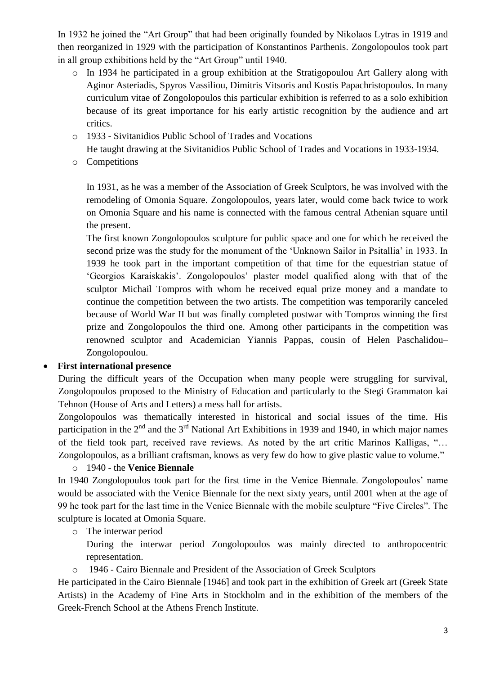In 1932 he joined the "Art Group" that had been originally founded by Nikolaos Lytras in 1919 and then reorganized in 1929 with the participation of Konstantinos Parthenis. Zongolopoulos took part in all group exhibitions held by the "Art Group" until 1940.

- o In 1934 he participated in a group exhibition at the Stratigopoulou Art Gallery along with Aginor Asteriadis, Spyros Vassiliou, Dimitris Vitsoris and Kostis Papachristopoulos. In many curriculum vitae of Zongolopoulos this particular exhibition is referred to as a solo exhibition because of its great importance for his early artistic recognition by the audience and art critics.
- o 1933 Sivitanidios Public School of Trades and Vocations

He taught drawing at the Sivitanidios Public School of Trades and Vocations in 1933-1934.

o Competitions

In 1931, as he was a member of the Association of Greek Sculptors, he was involved with the remodeling of Omonia Square. Zongolopoulos, years later, would come back twice to work on Omonia Square and his name is connected with the famous central Athenian square until the present.

The first known Zongolopoulos sculpture for public space and one for which he received the second prize was the study for the monument of the 'Unknown Sailor in Psitallia' in 1933. In 1939 he took part in the important competition of that time for the equestrian statue of "Georgios Karaiskakis". Zongolopoulos" plaster model qualified along with that of the sculptor Michail Tompros with whom he received equal prize money and a mandate to continue the competition between the two artists. The competition was temporarily canceled because of World War II but was finally completed postwar with Tompros winning the first prize and Zongolopoulos the third one. Among other participants in the competition was renowned sculptor and Academician Yiannis Pappas, cousin of Helen Paschalidou– Zongolopoulou.

# **First international presence**

During the difficult years of the Occupation when many people were struggling for survival, Zongolopoulos proposed to the Ministry of Education and particularly to the Stegi Grammaton kai Tehnon (House of Arts and Letters) a mess hall for artists.

Zongolopoulos was thematically interested in historical and social issues of the time. His participation in the  $2<sup>nd</sup>$  and the  $3<sup>rd</sup>$  National Art Exhibitions in 1939 and 1940, in which major names of the field took part, received rave reviews. As noted by the art critic Marinos Kalligas, "… Zongolopoulos, as a brilliant craftsman, knows as very few do how to give plastic value to volume."

## o 1940 - the **Venice Biennale**

In 1940 Zongolopoulos took part for the first time in the Venice Biennale. Zongolopoulos" name would be associated with the Venice Biennale for the next sixty years, until 2001 when at the age of 99 he took part for the last time in the Venice Biennale with the mobile sculpture "Five Circles". The sculpture is located at Omonia Square.

o The interwar period

- During the interwar period Zongolopoulos was mainly directed to anthropocentric representation.
- o 1946 Cairo Biennale and President of the Association of Greek Sculptors

He participated in the Cairo Biennale [1946] and took part in the exhibition of Greek art (Greek State Artists) in the Academy of Fine Arts in Stockholm and in the exhibition of the members of the Greek-French School at the Athens French Institute.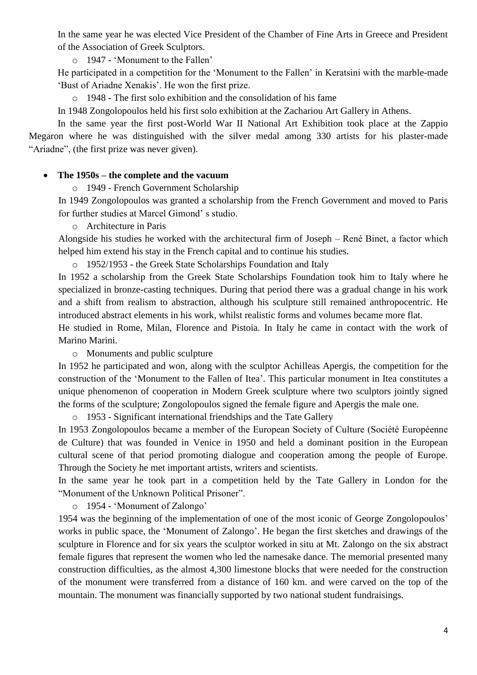In the same year he was elected Vice President of the Chamber of Fine Arts in Greece and President of the Association of Greek Sculptors.

o 1947 - "Monument to the Fallen"

He participated in a competition for the 'Monument to the Fallen' in Keratsini with the marble-made "Bust of Ariadne Xenakis". He won the first prize.

o 1948 - The first solo exhibition and the consolidation of his fame

In 1948 Zongolopoulos held his first solo exhibition at the Zachariou Art Gallery in Athens.

In the same year the first post-World War II National Art Exhibition took place at the Zappio Megaron where he was distinguished with the silver medal among 330 artists for his plaster-made "Ariadne", (the first prize was never given).

## **The 1950s – the complete and the vacuum**

o 1949 - French Government Scholarship

In 1949 Zongolopoulos was granted a scholarship from the French Government and moved to Paris for further studies at Marcel Gimond" s studio.

o Architecture in Paris

Alongside his studies he worked with the architectural firm of Joseph – René Binet, a factor which helped him extend his stay in the French capital and to continue his studies.

o 1952/1953 - the Greek State Scholarships Foundation and Italy

In 1952 a scholarship from the Greek State Scholarships Foundation took him to Italy where he specialized in bronze-casting techniques. During that period there was a gradual change in his work and a shift from realism to abstraction, although his sculpture still remained anthropocentric. He introduced abstract elements in his work, whilst realistic forms and volumes became more flat.

He studied in Rome, Milan, Florence and Pistoia. In Italy he came in contact with the work of Marino Marini.

o Monuments and public sculpture

In 1952 he participated and won, along with the sculptor Achilleas Apergis, the competition for the construction of the "Monument to the Fallen of Itea". This particular monument in Itea constitutes a unique phenomenon of cooperation in Modern Greek sculpture where two sculptors jointly signed the forms of the sculpture; Zongolopoulos signed the female figure and Apergis the male one.

o 1953 - Significant international friendships and the Tate Gallery

In 1953 Zongolopoulos became a member of the European Society of Culture (Société Européenne de Culture) that was founded in Venice in 1950 and held a dominant position in the European cultural scene of that period promoting dialogue and cooperation among the people of Europe. Through the Society he met important artists, writers and scientists.

In the same year he took part in a competition held by the Tate Gallery in London for the "Monument of the Unknown Political Prisoner".

o 1954 - "Monument of Zalongo"

1954 was the beginning of the implementation of one of the most iconic of George Zongolopoulos" works in public space, the "Monument of Zalongo". He began the first sketches and drawings of the sculpture in Florence and for six years the sculptor worked in situ at Mt. Zalongo on the six abstract female figures that represent the women who led the namesake dance. The memorial presented many construction difficulties, as the almost 4,300 limestone blocks that were needed for the construction of the monument were transferred from a distance of 160 km. and were carved on the top of the mountain. The monument was financially supported by two national student fundraisings.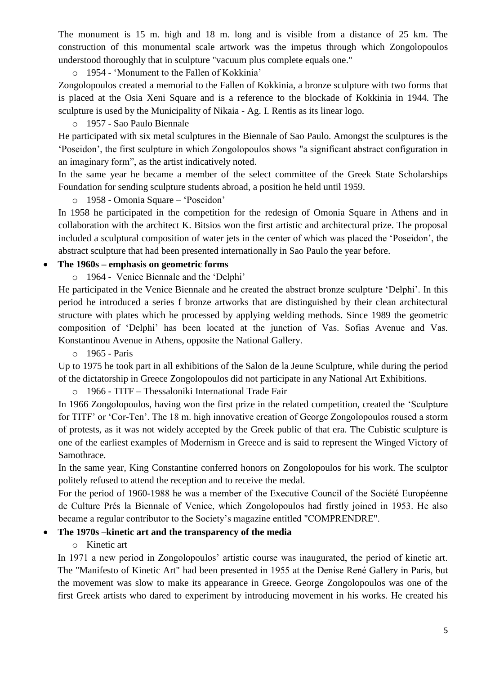The monument is 15 m. high and 18 m. long and is visible from a distance of 25 km. The construction of this monumental scale artwork was the impetus through which Zongolopoulos understood thoroughly that in sculpture "vacuum plus complete equals one."

o 1954 - "Monument to the Fallen of Kokkinia"

Zongolopoulos created a memorial to the Fallen of Kokkinia, a bronze sculpture with two forms that is placed at the Osia Xeni Square and is a reference to the blockade of Kokkinia in 1944. The sculpture is used by the Municipality of Nikaia - Ag. I. Rentis as its linear logo.

o 1957 - Sao Paulo Biennale

He participated with six metal sculptures in the Biennale of Sao Paulo. Amongst the sculptures is the "Poseidon", the first sculpture in which Zongolopoulos shows "a significant abstract configuration in an imaginary form", as the artist indicatively noted.

In the same year he became a member of the select committee of the Greek State Scholarships Foundation for sending sculpture students abroad, a position he held until 1959.

o 1958 - Omonia Square – "Poseidon"

In 1958 he participated in the competition for the redesign of Omonia Square in Athens and in collaboration with the architect K. Bitsios won the first artistic and architectural prize. The proposal included a sculptural composition of water jets in the center of which was placed the "Poseidon", the abstract sculpture that had been presented internationally in Sao Paulo the year before.

#### **The 1960s – emphasis on geometric forms**

o 1964 - Venice Biennale and the "Delphi"

He participated in the Venice Biennale and he created the abstract bronze sculpture "Delphi". In this period he introduced a series f bronze artworks that are distinguished by their clean architectural structure with plates which he processed by applying welding methods. Since 1989 the geometric composition of "Delphi" has been located at the junction of Vas. Sofias Avenue and Vas. Konstantinou Avenue in Athens, opposite the National Gallery.

o 1965 - Paris

Up to 1975 he took part in all exhibitions of the Salon de la Jeune Sculpture, while during the period of the dictatorship in Greece Zongolopoulos did not participate in any National Art Exhibitions.

o 1966 - TITF – Thessaloniki International Trade Fair

In 1966 Zongolopoulos, having won the first prize in the related competition, created the "Sculpture for TITF' or 'Cor-Ten'. The 18 m. high innovative creation of George Zongolopoulos roused a storm of protests, as it was not widely accepted by the Greek public of that era. The Cubistic sculpture is one of the earliest examples of Modernism in Greece and is said to represent the Winged Victory of Samothrace.

In the same year, King Constantine conferred honors on Zongolopoulos for his work. The sculptor politely refused to attend the reception and to receive the medal.

For the period of 1960-1988 he was a member of the Executive Council of the Société Européenne de Culture Prés la Biennale of Venice, which Zongolopoulos had firstly joined in 1953. He also became a regular contributor to the Society"s magazine entitled "COMPRENDRE".

## **The 1970s –kinetic art and the transparency of the media**

o Kinetic art

In 1971 a new period in Zongolopoulos' artistic course was inaugurated, the period of kinetic art. The "Manifesto of Kinetic Art" had been presented in 1955 at the Denise René Gallery in Paris, but the movement was slow to make its appearance in Greece. George Zongolopoulos was one of the first Greek artists who dared to experiment by introducing movement in his works. He created his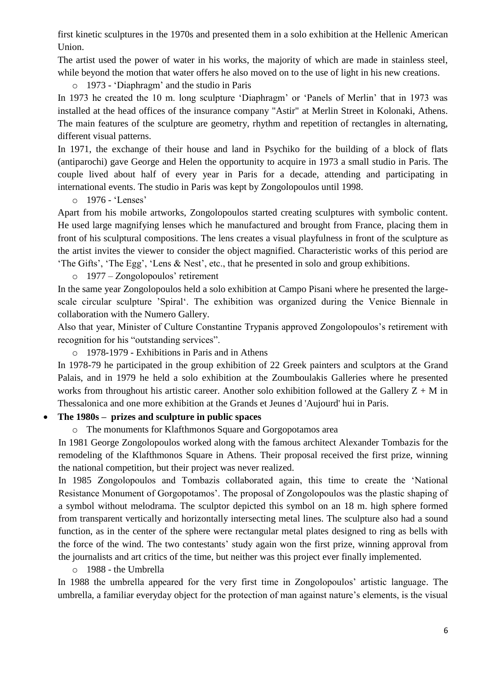first kinetic sculptures in the 1970s and presented them in a solo exhibition at the Hellenic American Union.

The artist used the power of water in his works, the majority of which are made in stainless steel, while beyond the motion that water offers he also moved on to the use of light in his new creations.

o 1973 - "Diaphragm" and the studio in Paris

In 1973 he created the 10 m. long sculpture 'Diaphragm' or 'Panels of Merlin' that in 1973 was installed at the head offices of the insurance company "Astir" at Merlin Street in Kolonaki, Athens. The main features of the sculpture are geometry, rhythm and repetition of rectangles in alternating, different visual patterns.

In 1971, the exchange of their house and land in Psychiko for the building of a block of flats (antiparochi) gave George and Helen the opportunity to acquire in 1973 a small studio in Paris. The couple lived about half of every year in Paris for a decade, attending and participating in international events. The studio in Paris was kept by Zongolopoulos until 1998.

o 1976 - "Lenses"

Apart from his mobile artworks, Zongolopoulos started creating sculptures with symbolic content. He used large magnifying lenses which he manufactured and brought from France, placing them in front of his sculptural compositions. The lens creates a visual playfulness in front of the sculpture as the artist invites the viewer to consider the object magnified. Characteristic works of this period are "The Gifts", "The Egg", "Lens & Nest", etc., that he presented in solo and group exhibitions.

 $\circ$  1977 – Zongolopoulos' retirement

In the same year Zongolopoulos held a solo exhibition at Campo Pisani where he presented the largescale circular sculpture "Spiral". The exhibition was organized during the Venice Biennale in collaboration with the Numero Gallery.

Also that year, Minister of Culture Constantine Trypanis approved Zongolopoulos"s retirement with recognition for his "outstanding services".

o 1978-1979 - Exhibitions in Paris and in Athens

In 1978-79 he participated in the group exhibition of 22 Greek painters and sculptors at the Grand Palais, and in 1979 he held a solo exhibition at the Zoumboulakis Galleries where he presented works from throughout his artistic career. Another solo exhibition followed at the Gallery  $Z + M$  in Thessalonica and one more exhibition at the Grands et Jeunes d 'Aujourd' hui in Paris.

## **The 1980s – prizes and sculpture in public spaces**

o The monuments for Klafthmonos Square and Gorgopotamos area

In 1981 George Zongolopoulos worked along with the famous architect Alexander Tombazis for the remodeling of the Klafthmonos Square in Athens. Their proposal received the first prize, winning the national competition, but their project was never realized.

In 1985 Zongolopoulos and Tombazis collaborated again, this time to create the "National Resistance Monument of Gorgopotamos'. The proposal of Zongolopoulos was the plastic shaping of a symbol without melodrama. The sculptor depicted this symbol on an 18 m. high sphere formed from transparent vertically and horizontally intersecting metal lines. The sculpture also had a sound function, as in the center of the sphere were rectangular metal plates designed to ring as bells with the force of the wind. The two contestants' study again won the first prize, winning approval from the journalists and art critics of the time, but neither was this project ever finally implemented.

o 1988 - the Umbrella

In 1988 the umbrella appeared for the very first time in Zongolopoulos' artistic language. The umbrella, a familiar everyday object for the protection of man against nature's elements, is the visual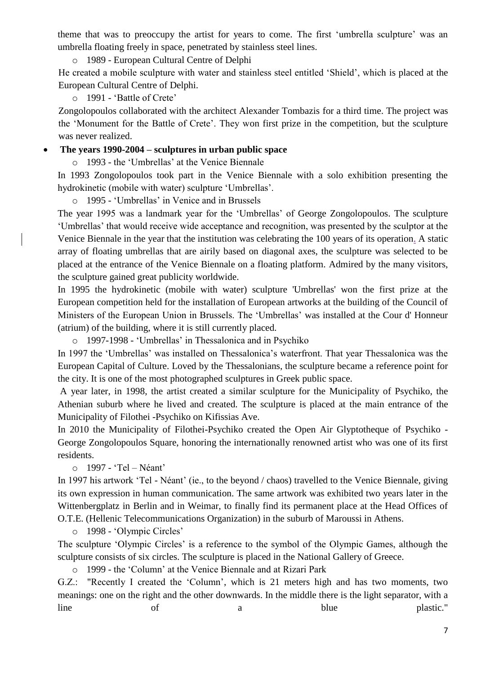theme that was to preoccupy the artist for years to come. The first 'umbrella sculpture' was an umbrella floating freely in space, penetrated by stainless steel lines.

o 1989 - European Cultural Centre of Delphi

He created a mobile sculpture with water and stainless steel entitled "Shield", which is placed at the European Cultural Centre of Delphi.

o 1991 - "Battle of Crete"

Zongolopoulos collaborated with the architect Alexander Tombazis for a third time. The project was the "Monument for the Battle of Crete". They won first prize in the competition, but the sculpture was never realized.

#### **The years 1990-2004 – sculptures in urban public space**

o 1993 - the "Umbrellas" at the Venice Biennale

In 1993 Zongolopoulos took part in the Venice Biennale with a solo exhibition presenting the hydrokinetic (mobile with water) sculpture 'Umbrellas'.

o 1995 - "Umbrellas" in Venice and in Brussels

The year 1995 was a landmark year for the "Umbrellas" of George Zongolopoulos. The sculpture "Umbrellas" that would receive wide acceptance and recognition, was presented by the sculptor at the Venice Biennale in the year that the institution was celebrating the 100 years of its operation. A static array of floating umbrellas that are airily based on diagonal axes, the sculpture was selected to be placed at the entrance of the Venice Biennale on a floating platform. Admired by the many visitors, the sculpture gained great publicity worldwide.

In 1995 the hydrokinetic (mobile with water) sculpture 'Umbrellas' won the first prize at the European competition held for the installation of European artworks at the building of the Council of Ministers of the European Union in Brussels. The "Umbrellas" was installed at the Cour d' Honneur (atrium) of the building, where it is still currently placed.

o 1997-1998 - "Umbrellas" in Thessalonica and in Psychiko

In 1997 the 'Umbrellas' was installed on Thessalonica's waterfront. That year Thessalonica was the European Capital of Culture. Loved by the Thessalonians, the sculpture became a reference point for the city. It is one of the most photographed sculptures in Greek public space.

A year later, in 1998, the artist created a similar sculpture for the Municipality of Psychiko, the Athenian suburb where he lived and created. The sculpture is placed at the main entrance of the Municipality of Filothei -Psychiko on Kifissias Ave.

In 2010 the Municipality of Filothei-Psychiko created the Open Air Glyptotheque of Psychiko - George Zongolopoulos Square, honoring the internationally renowned artist who was one of its first residents.

o 1997 - "Tel – Néant"

In 1997 his artwork 'Tel - Néant' (ie., to the beyond / chaos) travelled to the Venice Biennale, giving its own expression in human communication. The same artwork was exhibited two years later in the Wittenbergplatz in Berlin and in Weimar, to finally find its permanent place at the Head Offices of O.T.E. (Hellenic Telecommunications Organization) in the suburb of Maroussi in Athens.

o 1998 - "Olympic Circles"

The sculpture 'Olympic Circles' is a reference to the symbol of the Olympic Games, although the sculpture consists of six circles. The sculpture is placed in the National Gallery of Greece.

o 1999 - the "Column" at the Venice Biennale and at Rizari Park

G.Z.: "Recently I created the "Column", which is 21 meters high and has two moments, two meanings: one on the right and the other downwards. In the middle there is the light separator, with a line of a blue plastic."